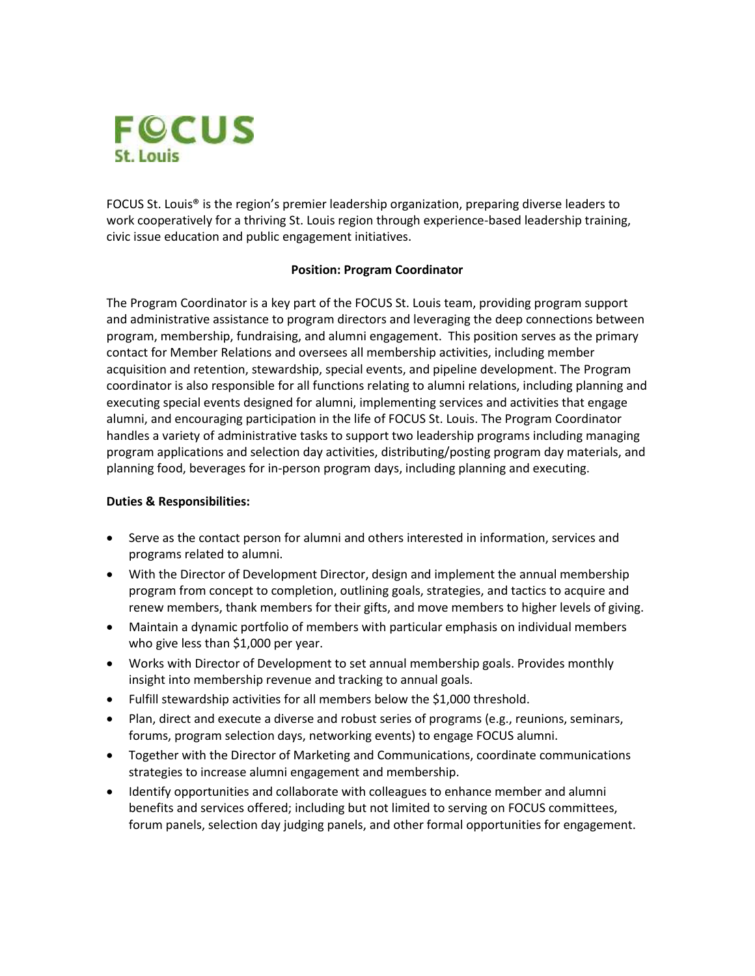

FOCUS St. Louis® is the region's premier leadership organization, preparing diverse leaders to work cooperatively for a thriving St. Louis region through experience-based leadership training, civic issue education and public engagement initiatives.

## **Position: Program Coordinator**

The Program Coordinator is a key part of the FOCUS St. Louis team, providing program support and administrative assistance to program directors and leveraging the deep connections between program, membership, fundraising, and alumni engagement. This position serves as the primary contact for Member Relations and oversees all membership activities, including member acquisition and retention, stewardship, special events, and pipeline development. The Program coordinator is also responsible for all functions relating to alumni relations, including planning and executing special events designed for alumni, implementing services and activities that engage alumni, and encouraging participation in the life of FOCUS St. Louis. The Program Coordinator handles a variety of administrative tasks to support two leadership programs including managing program applications and selection day activities, distributing/posting program day materials, and planning food, beverages for in-person program days, including planning and executing.

## **Duties & Responsibilities:**

- Serve as the contact person for alumni and others interested in information, services and programs related to alumni.
- With the Director of Development Director, design and implement the annual membership program from concept to completion, outlining goals, strategies, and tactics to acquire and renew members, thank members for their gifts, and move members to higher levels of giving.
- Maintain a dynamic portfolio of members with particular emphasis on individual members who give less than \$1,000 per year.
- Works with Director of Development to set annual membership goals. Provides monthly insight into membership revenue and tracking to annual goals.
- Fulfill stewardship activities for all members below the \$1,000 threshold.
- Plan, direct and execute a diverse and robust series of programs (e.g., reunions, seminars, forums, program selection days, networking events) to engage FOCUS alumni.
- Together with the Director of Marketing and Communications, coordinate communications strategies to increase alumni engagement and membership.
- Identify opportunities and collaborate with colleagues to enhance member and alumni benefits and services offered; including but not limited to serving on FOCUS committees, forum panels, selection day judging panels, and other formal opportunities for engagement.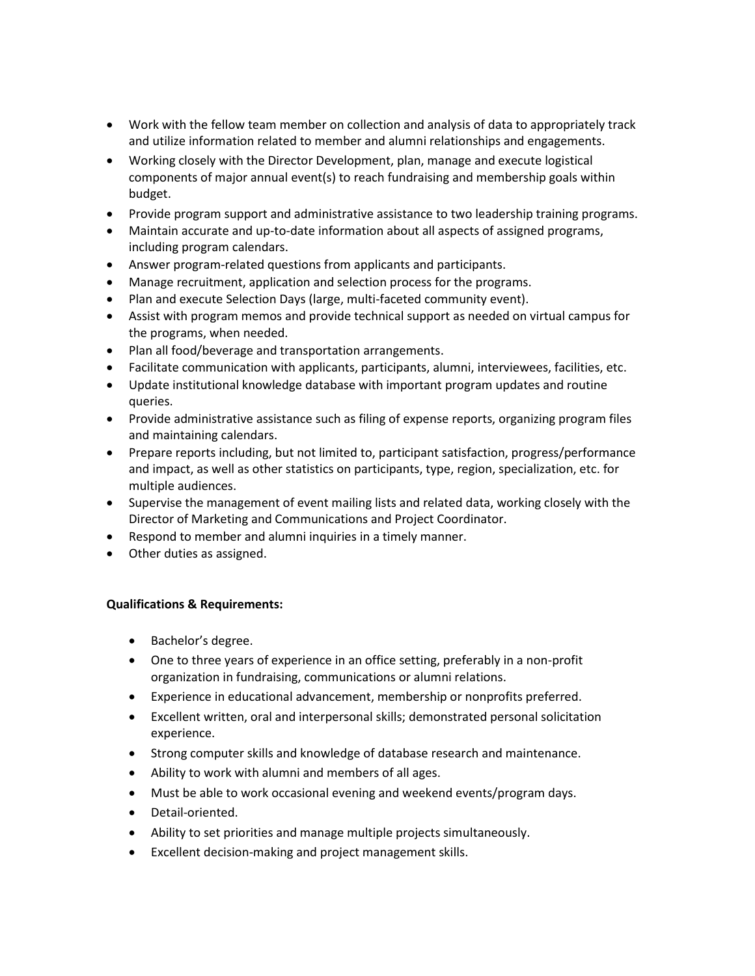- Work with the fellow team member on collection and analysis of data to appropriately track and utilize information related to member and alumni relationships and engagements.
- Working closely with the Director Development, plan, manage and execute logistical components of major annual event(s) to reach fundraising and membership goals within budget.
- Provide program support and administrative assistance to two leadership training programs.
- Maintain accurate and up-to-date information about all aspects of assigned programs, including program calendars.
- Answer program-related questions from applicants and participants.
- Manage recruitment, application and selection process for the programs.
- Plan and execute Selection Days (large, multi-faceted community event).
- Assist with program memos and provide technical support as needed on virtual campus for the programs, when needed.
- Plan all food/beverage and transportation arrangements.
- Facilitate communication with applicants, participants, alumni, interviewees, facilities, etc.
- Update institutional knowledge database with important program updates and routine queries.
- Provide administrative assistance such as filing of expense reports, organizing program files and maintaining calendars.
- Prepare reports including, but not limited to, participant satisfaction, progress/performance and impact, as well as other statistics on participants, type, region, specialization, etc. for multiple audiences.
- Supervise the management of event mailing lists and related data, working closely with the Director of Marketing and Communications and Project Coordinator.
- Respond to member and alumni inquiries in a timely manner.
- Other duties as assigned.

## **Qualifications & Requirements:**

- Bachelor's degree.
- One to three years of experience in an office setting, preferably in a non-profit organization in fundraising, communications or alumni relations.
- Experience in educational advancement, membership or nonprofits preferred.
- Excellent written, oral and interpersonal skills; demonstrated personal solicitation experience.
- Strong computer skills and knowledge of database research and maintenance.
- Ability to work with alumni and members of all ages.
- Must be able to work occasional evening and weekend events/program days.
- Detail-oriented.
- Ability to set priorities and manage multiple projects simultaneously.
- Excellent decision-making and project management skills.